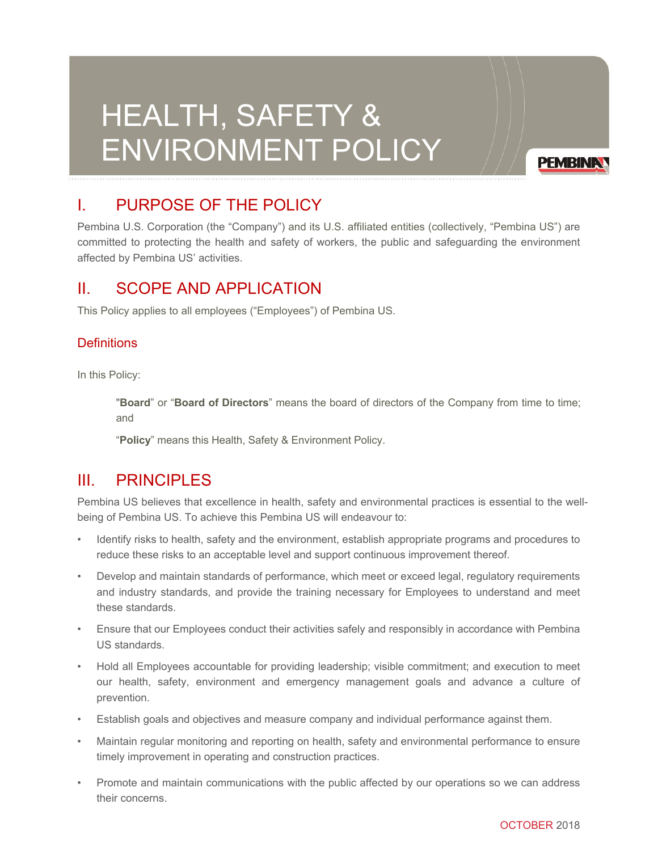# HEALTH, SAFETY & ENVIRONMENT POLICY

**PEMBINA** 

# I. PURPOSE OF THE POLICY

Pembina U.S. Corporation (the "Company") and its U.S. affiliated entities (collectively, "Pembina US") are committed to protecting the health and safety of workers, the public and safeguarding the environment affected by Pembina US' activities.

### II. SCOPE AND APPLICATION

This Policy applies to all employees ("Employees") of Pembina US.

#### **Definitions**

In this Policy:

"**Board**" or "**Board of Directors**" means the board of directors of the Company from time to time; and

"**Policy**" means this Health, Safety & Environment Policy.

#### III. PRINCIPLES

Pembina US believes that excellence in health, safety and environmental practices is essential to the wellbeing of Pembina US. To achieve this Pembina US will endeavour to:

- Identify risks to health, safety and the environment, establish appropriate programs and procedures to reduce these risks to an acceptable level and support continuous improvement thereof.
- Develop and maintain standards of performance, which meet or exceed legal, regulatory requirements and industry standards, and provide the training necessary for Employees to understand and meet these standards.
- Ensure that our Employees conduct their activities safely and responsibly in accordance with Pembina US standards.
- Hold all Employees accountable for providing leadership; visible commitment; and execution to meet our health, safety, environment and emergency management goals and advance a culture of prevention.
- Establish goals and objectives and measure company and individual performance against them.
- Maintain regular monitoring and reporting on health, safety and environmental performance to ensure timely improvement in operating and construction practices.
- Promote and maintain communications with the public affected by our operations so we can address their concerns.